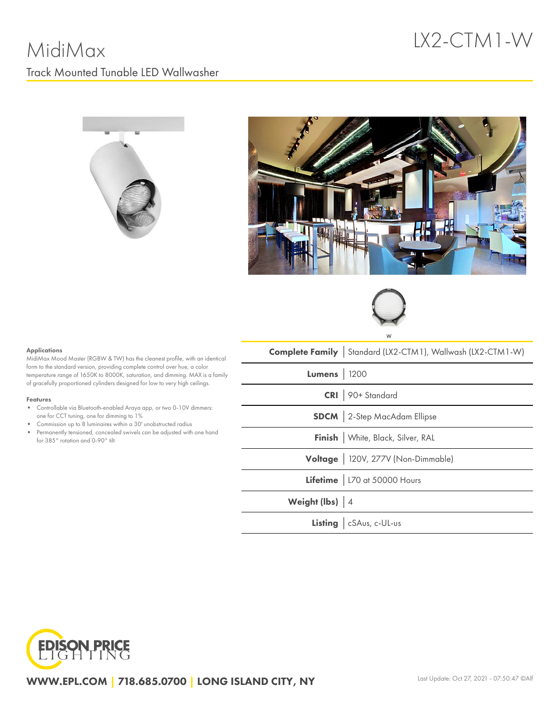# LX2-CTM1-W







#### Applications

MidiMax Mood Master (RGBW & TW) has the cleanest profile, with an identical form to the standard version, providing complete control over hue, a color temperature range of 1650K to 8000K, saturation, and dimming. MAX is a family of gracefully proportioned cylinders designed for low to very high ceilings.

#### Features

- Controllable via Bluetooth-enabled Araya app, or two 0-10V dimmers: one for CCT tuning, one for dimming to 1%
- Commission up to 8 luminaires within a 30' unobstructed radius
- Permanently tensioned, concealed swivels can be adjusted with one hand for 385° rotation and 0-90° tilt

|                    | <b>Complete Family</b> Standard (LX2-CTM1), Wallwash (LX2-CTM1-W) |
|--------------------|-------------------------------------------------------------------|
| <b>Lumens</b> 1200 |                                                                   |
|                    | CRI 90+ Standard                                                  |
|                    | <b>SDCM</b> 2-Step MacAdam Ellipse                                |
|                    | Finish   White, Black, Silver, RAL                                |
|                    | Voltage   120V, 277V (Non-Dimmable)                               |
|                    | Lifetime   L70 at 50000 Hours                                     |
| Weight (lbs) 4     |                                                                   |
|                    | Listing   cSAus, c-UL-us                                          |



WWW.EPL.COM | 718.685.0700 | LONG ISLAND CITY, NY Last Update: Oct 27, 2021 - 07:50:47 ©Alf